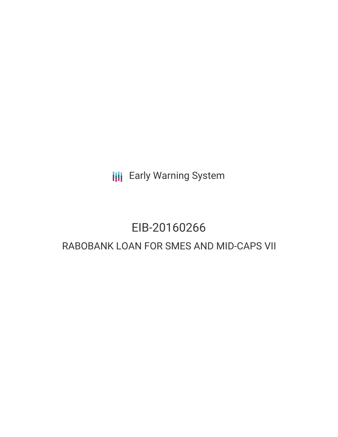**III** Early Warning System

# EIB-20160266 RABOBANK LOAN FOR SMES AND MID-CAPS VII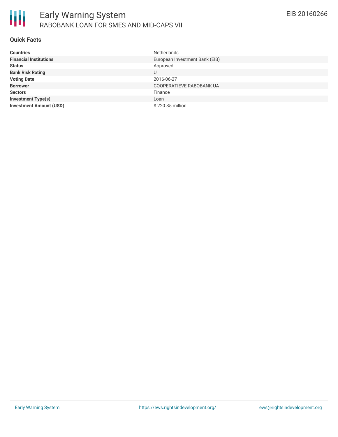

### **Quick Facts**

| <b>Countries</b>               | <b>Netherlands</b>             |
|--------------------------------|--------------------------------|
| <b>Financial Institutions</b>  | European Investment Bank (EIB) |
| <b>Status</b>                  | Approved                       |
| <b>Bank Risk Rating</b>        | U                              |
| <b>Voting Date</b>             | 2016-06-27                     |
| <b>Borrower</b>                | COOPERATIEVE RABOBANK UA       |
| <b>Sectors</b>                 | Finance                        |
| <b>Investment Type(s)</b>      | Loan                           |
| <b>Investment Amount (USD)</b> | \$220.35 million               |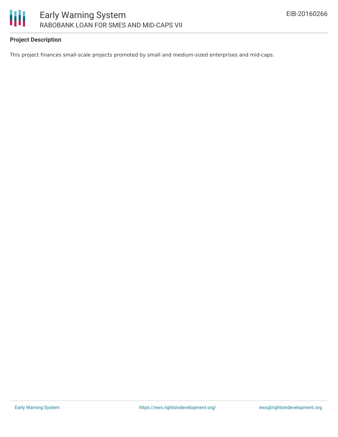

# **Project Description**

This project finances small-scale projects promoted by small and medium-sized enterprises and mid-caps.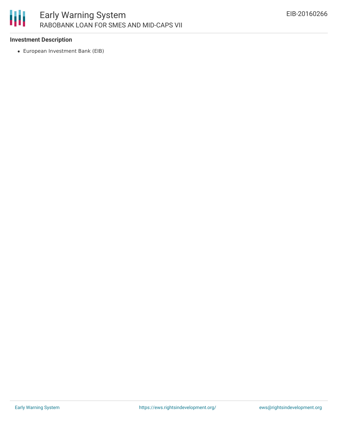

### **Investment Description**

European Investment Bank (EIB)